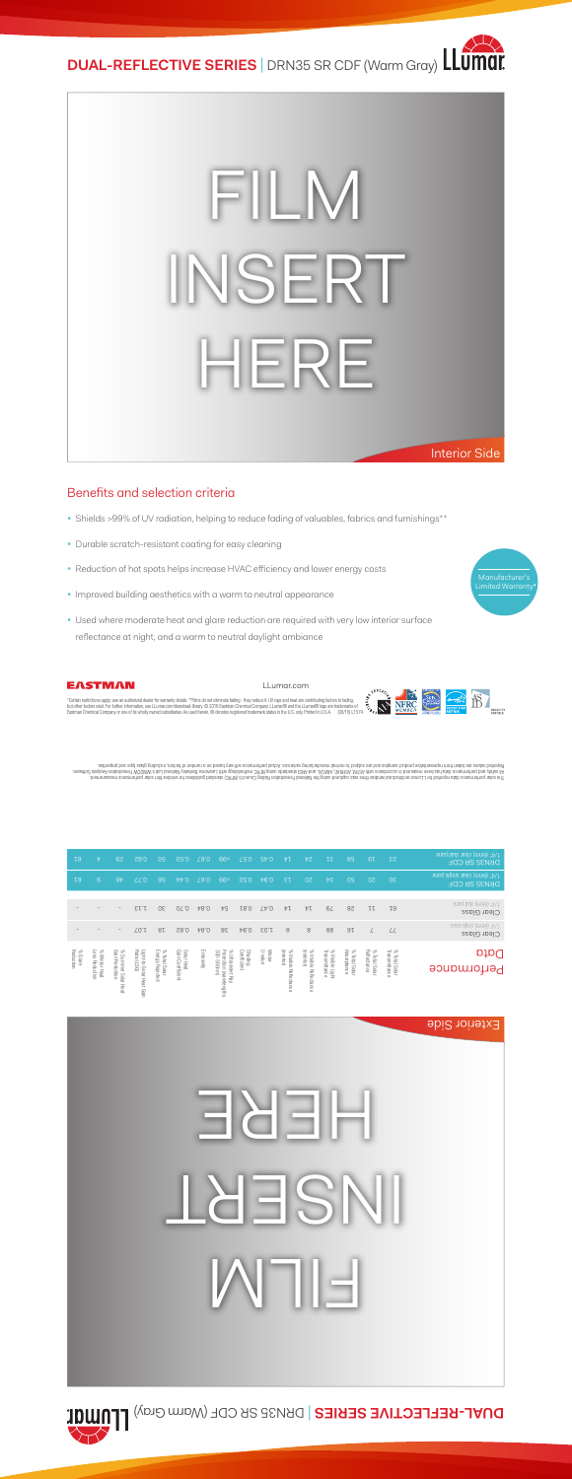



## Benefits and selection criteria

- Shields >99% of UV radiation, helping to reduce fading of valuables, fabrics and furnishings\*\*
- Durable scratch-resistant coating for easy cleaning
- Reduction of hot spots helps increase HVAC efficiency and lower energy costs
- Improved building aesthetics with a warm to neutral appearance
- Used where moderate heat and glare reduction are required with very low interior surface reflectance at night, and a warm to neutral daylight ambiance



## **EASTMAN**

LLumar.com



"Certain restrictions apply; see an authorized dealer for warranty details. ""Films do not eliminate fading - they reduce it. UV rays and heat are contributing factors to fading,<br>but other factors exist. For further inform